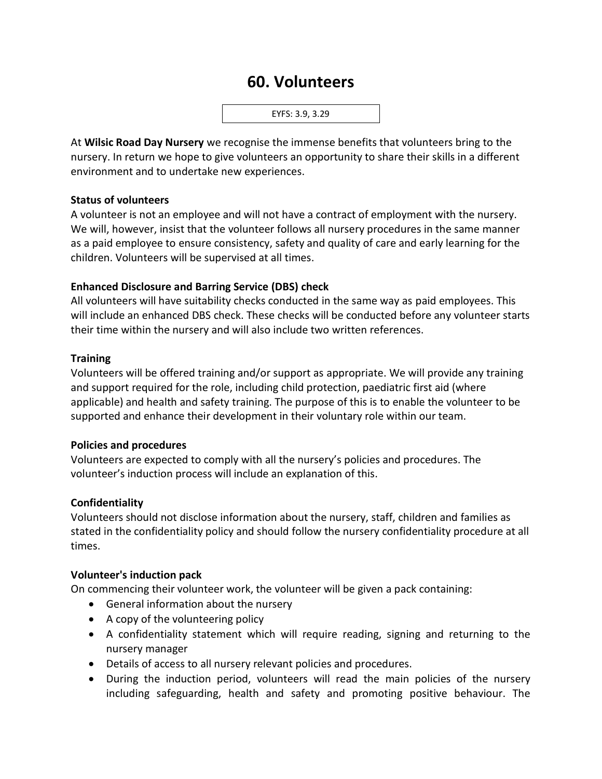# **60. Volunteers**



At **Wilsic Road Day Nursery** we recognise the immense benefits that volunteers bring to the nursery. In return we hope to give volunteers an opportunity to share their skills in a different environment and to undertake new experiences.

#### **Status of volunteers**

A volunteer is not an employee and will not have a contract of employment with the nursery. We will, however, insist that the volunteer follows all nursery procedures in the same manner as a paid employee to ensure consistency, safety and quality of care and early learning for the children. Volunteers will be supervised at all times.

## **Enhanced Disclosure and Barring Service (DBS) check**

All volunteers will have suitability checks conducted in the same way as paid employees. This will include an enhanced DBS check. These checks will be conducted before any volunteer starts their time within the nursery and will also include two written references.

## **Training**

Volunteers will be offered training and/or support as appropriate. We will provide any training and support required for the role, including child protection, paediatric first aid (where applicable) and health and safety training. The purpose of this is to enable the volunteer to be supported and enhance their development in their voluntary role within our team.

## **Policies and procedures**

Volunteers are expected to comply with all the nursery's policies and procedures. The volunteer's induction process will include an explanation of this.

## **Confidentiality**

Volunteers should not disclose information about the nursery, staff, children and families as stated in the confidentiality policy and should follow the nursery confidentiality procedure at all times.

#### **Volunteer's induction pack**

On commencing their volunteer work, the volunteer will be given a pack containing:

- General information about the nursery
- A copy of the volunteering policy
- A confidentiality statement which will require reading, signing and returning to the nursery manager
- Details of access to all nursery relevant policies and procedures.
- During the induction period, volunteers will read the main policies of the nursery including safeguarding, health and safety and promoting positive behaviour. The